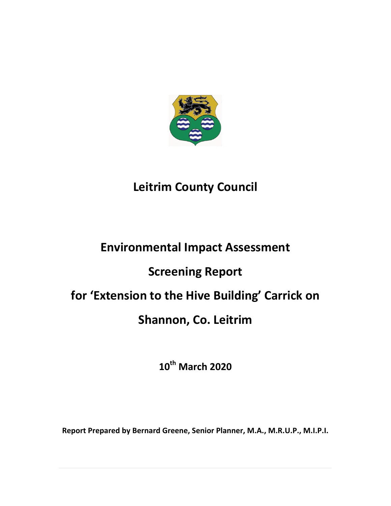

# **Leitrim County Council**

# **Environmental Impact Assessment**

# **Screening Report**

# **for 'Extension to the Hive Building' Carrick on**

# **Shannon, Co. Leitrim**

**10th March 2020**

**Report Prepared by Bernard Greene, Senior Planner, M.A., M.R.U.P., M.I.P.I.**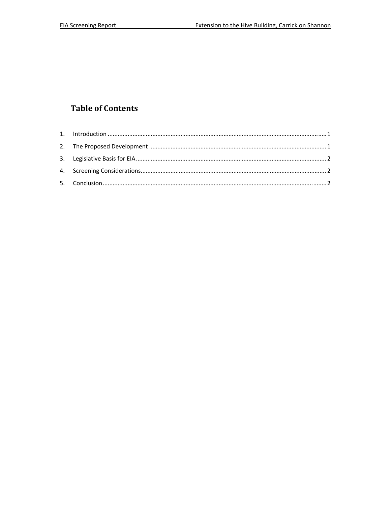## **Table of Contents**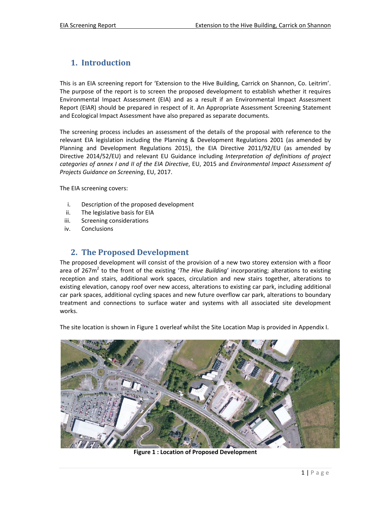### 1. **Introduction**

This is an EIA screening report for 'Extension to the Hive Building, Carrick on Shannon, Co. Leitrim'. The purpose of the report is to screen the proposed development to establish whether it requires Environmental Impact Assessment (EIA) and as a result if an Environmental Impact Assessment Report (EIAR) should be prepared in respect of it. An Appropriate Assessment Screening Statement and Ecological Impact Assessment have also prepared as separate documents.

The screening process includes an assessment of the details of the proposal with reference to the relevant EIA legislation including the Planning & Development Regulations 2001 (as amended by Planning and Development Regulations 2015), the EIA Directive 2011/92/EU (as amended by Directive 2014/52/EU) and relevant EU Guidance including *Interpretation of definitions of project categories of annex I and II of the EIA Directive*, EU, 2015 and *Environmental Impact Assessment of Projects Guidance on Screening*, EU, 2017.

The EIA screening covers:

- i. Description of the proposed development
- ii. The legislative basis for EIA
- iii. Screening considerations
- iv. Conclusions

#### **2. The Proposed Development**

The proposed development will consist of the provision of a new two storey extension with a floor area of 267m2 to the front of the existing '*The Hive Building*' incorporating; alterations to existing reception and stairs, additional work spaces, circulation and new stairs together, alterations to existing elevation, canopy roof over new access, alterations to existing car park, including additional car park spaces, additional cycling spaces and new future overflow car park, alterations to boundary treatment and connections to surface water and systems with all associated site development works.

The site location is shown in Figure 1 overleaf whilst the Site Location Map is provided in Appendix I.



**Figure 1 : Location of Proposed Development**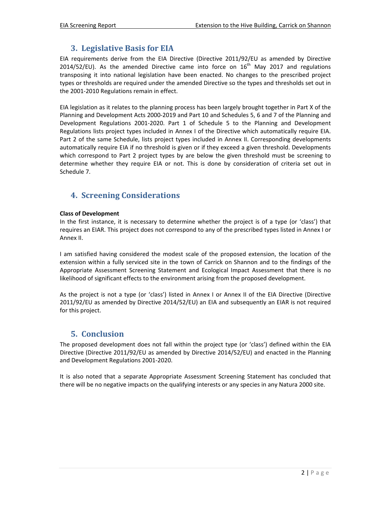### **3. Legislative Basis for EIA**

EIA requirements derive from the EIA Directive (Directive 2011/92/EU as amended by Directive 2014/52/EU). As the amended Directive came into force on  $16<sup>th</sup>$  May 2017 and regulations transposing it into national legislation have been enacted. No changes to the prescribed project types or thresholds are required under the amended Directive so the types and thresholds set out in the 2001‐2010 Regulations remain in effect.

EIA legislation as it relates to the planning process has been largely brought together in Part X of the Planning and Development Acts 2000‐2019 and Part 10 and Schedules 5, 6 and 7 of the Planning and Development Regulations 2001‐2020. Part 1 of Schedule 5 to the Planning and Development Regulations lists project types included in Annex I of the Directive which automatically require EIA. Part 2 of the same Schedule, lists project types included in Annex II. Corresponding developments automatically require EIA if no threshold is given or if they exceed a given threshold. Developments which correspond to Part 2 project types by are below the given threshold must be screening to determine whether they require EIA or not. This is done by consideration of criteria set out in Schedule 7.

### **4. Screening Considerations**

#### **Class of Development**

In the first instance, it is necessary to determine whether the project is of a type (or 'class') that requires an EIAR. This project does not correspond to any of the prescribed types listed in Annex I or Annex II.

I am satisfied having considered the modest scale of the proposed extension, the location of the extension within a fully serviced site in the town of Carrick on Shannon and to the findings of the Appropriate Assessment Screening Statement and Ecological Impact Assessment that there is no likelihood of significant effects to the environment arising from the proposed development.

As the project is not a type (or 'class') listed in Annex I or Annex II of the EIA Directive (Directive 2011/92/EU as amended by Directive 2014/52/EU) an EIA and subsequently an EIAR is not required for this project.

### **5. Conclusion**

The proposed development does not fall within the project type (or 'class') defined within the EIA Directive (Directive 2011/92/EU as amended by Directive 2014/52/EU) and enacted in the Planning and Development Regulations 2001‐2020.

It is also noted that a separate Appropriate Assessment Screening Statement has concluded that there will be no negative impacts on the qualifying interests or any species in any Natura 2000 site.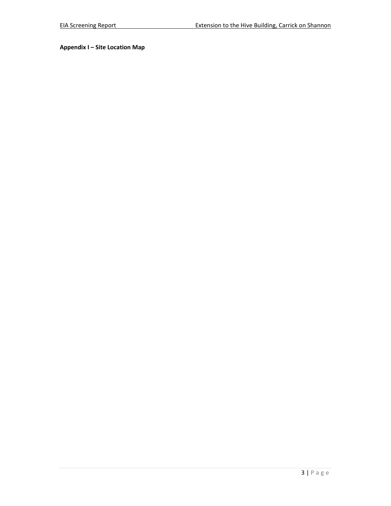**Appendix I – Site Location Map**